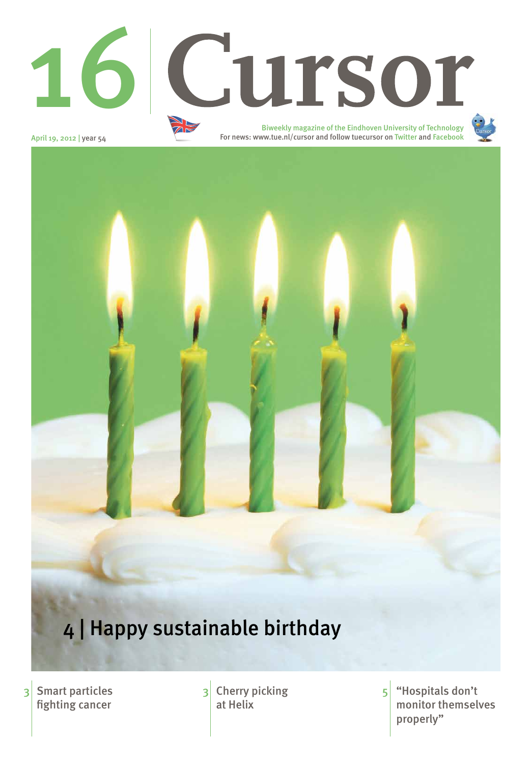April 19, 2012 | year 54

Smart particles fighting cancer

3 Smart particles 3 Cherry picking 5 Hospitals don't monitor themselves properly" 5

at Helix



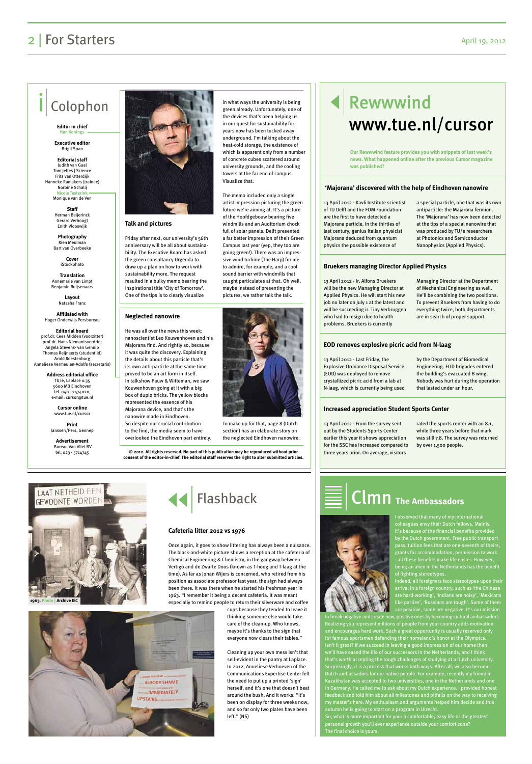**Talk and pictures**

Friday after next, our university's 56th anniversary will be all about sustainability. The Executive Board has asked the green consultancy Urgenda to draw up a plan on how to work with sustainability more. The request resulted in a bulky memo bearing the inspirational title 'City of Tomorrow'. One of the tips is to clearly visualize

in what ways the university is being green already. Unfortunately, one of the devices that's been helping us in our quest for sustainability for years now has been tucked away underground. I'm talking about the heat-cold storage, the existence of which is apparent only from a number of concrete cubes scattered around university grounds, and the cooling towers at the far end of campus. Visualize that.

The memo included only a single artist impression picturing the green future we're aiming at. It's a picture of the Hoofdgebouw bearing five windmills and an Auditorium chock full of solar panels. Delft presented a far better impression of their Green Campus last year (yep, they too are going green!). There was an impressive wind turbine (The Harp) for me to admire, for example, and a cool sound barrier with windmills that caught particulates at that. Oh well, maybe instead of presenting the pictures, we rather talk the talk.



## Rewwwind www.tue.nl/cursor

## 2 | For Starters April 19, 2012

## Colophon

**Editor in chief Han Konings**

**Executive editor**  Brigit Span

**Editorial staff** Judith van Gaal Tom Jeltes | Science Frits van Otterdijk Hanneke Ramakers (trainee) Norbine Schalij **Nicole Testerink**

Monique van de Ven

**Staff**  Herman Beijerinck Gerard Verhoogt Enith Vlooswijk

**Photography**  Rien Meulman Bart van Overbeeke

> **Cover** iStockphoto

**Translation** Annemarie van Limpt Benjamin Ruijsenaars

> **Layout** Natasha Franc

**Affiliated with**  Hoger Onderwijs Persbureau

**Editorial board** prof.dr. Cees Midden (voorzitter) prof.dr. Hans Niemantsverdriet Angela Stevens- van Gennip Thomas Reijnaerts (studentlid) Arold Roestenburg

Anneliese Vermeulen-Adolfs (secretaris)

**Address editorial office** TU/e, Laplace 0.35 5600 MB Eindhoven tel. 040 - 2474020, e-mail: cursor@tue.nl

> **Cursor online** www.tue.nl/cursor

**Print** Janssen/Pers, Gennep

**Advertisement** Bureau Van Vliet BV



tel. 023 - 5714745 **© 2012. All rights reserved. No part of this publication may be reproduced without prior consent of the editor-in-chief. The editorial staff reserves the right to alter submitted articles.**

> I observed that many of my international colleagues envy their Dutch fellows. Mainly, it's because of the financial benefits provided by the Dutch government. Free public transport pass, tuition fees that are one-seventh of theirs, grants for accommodation, permission to work - all these benefits make life easier. However, being an alien in the Netherlands has the benefit of fighting stereotypes. d, all foreigners face stereotypes upon th

13 April 2012 - Kavli Institute scientist of TU Delft and the FOM Foundation are the first to have detected a Majorana particle. In the thirties of last century, genius Italian physicist Majorana deduced from quantum physics the possible existence of

a special particle, one that was its own antiparticle: the Majarona fermion. The 'Majorana' has now been detected at the tips of a special nanowire that was produced by TU/e researchers at Photonics and Semiconductor Nanophysics (Applied Physics).

13 April 2012 - Ir. Alfons Bruekers will be the new Managing Director at Applied Physics. He will start his new job no later on July 1 at the latest and will be succeeding ir. Tiny Verbruggen who had to resign due to health problems. Bruekers is currently

Managing Director at the Department of Mechanical Engineering as well. He'll be combining the two positions. To prevent Bruekers from having to do everything twice, both departments are in search of proper support.

13 April 2012 - Last Friday, the Explosive Ordnance Disposal Service (EOD) was deployed to remove crystallized picric acid from a lab at N-laag, which is currently being used by the Department of Biomedical Engineering. EOD brigades entered the building's evacuated B wing. Nobody was hurt during the operation that lasted under an hour.

13 April 2012 - From the survey sent out by the Students Sports Center earlier this year it shows appreciation for the SSC has increased compared to three years prior. On average, visitors

rated the sports center with an 8.1, while three years before that mark was still 7.8. The survey was returned by over 1,500 people.

#### **'Majorana' discovered with the help of Eindhoven nanowire**

#### **Bruekers managing Director Applied Physics**

#### **EOD removes explosive picric acid from N-laag**

#### **Increased appreciation Student Sports Center**

**Our Rewwwind feature provides you with snippets of last week's news. What happened online after the previous Cursor magazine was published?**

#### **Neglected nanowire**

He was all over the news this week: nanoscientist Leo Kouwenhoven and his Majorana find. And rightly so, because it was quite the discovery. Explaining the details about this particle that's its own anti-particle at the same time proved to be an art form in itself. In talkshow Pauw & Witteman, we saw Kouwenhoven going at it with a big box of duplo bricks. The yellow blocks represented the essence of his Majorana device, and that's the nanowire made in Eindhoven. So despite our crucial contribution to the find, the media seem to have overlooked the Eindhoven part entirely.

> arrival in a foreign country, such as 'the Chinese are hard-working', 'Indians are noisy', 'Mexicans like parties', 'Russians are tough'. Some of them are positive, some are negative. It's our mission o break negative and create new, positive ones by becoming cultural ambassadors. Realizing you represent millions of people from your country adds motivation and encourages hard work. Such a great opportunity is usually reserved only for famous sportsmen defending their homeland's honor at the Olympics. Isn't it great? If we succeed in leaving a good impression of our home then we'll have eased the life of our successors in the Netherlands, and I think

that's worth accepting the tough challenges of studying at a Dutch university. Surprisingly, it is a process that works both ways. After all, we also become Dutch ambassadors for our native people. For example, recently my friend in Kazakhstan was accepted to two universities, one in the Netherlands and one in Germany. He called me to ask about my Dutch experience. I provided honest feedback and told him about all milestones and pitfalls on the way to receiving my master's here. My enthusiasm and arguments helped him decide and this autumn he is going to start on a program in Utrecht. So, what is more important for you: a comfortable, easy life or the greatest

personal growth you'll ever experience outside your comfort zone? The final choice is yours.

## Clmn **The Ambassadors**

Once again, it goes to show littering has always been a nuisance. The black-and-white picture shows a reception at the cafeteria of Chemical Engineering & Chemistry, in the gangway between Vertigo and de Zwarte Doos (known as T-hoog and T-laag at the time). As far as Johan Wijers is concerned, who retired from his position as associate professor last year, the sign had always

been there. It was there when he started his freshman year in 1963. "I remember it being a decent cafeteria. It was meant especially to remind people to return their silverware and coffee



cups because they tended to leave it thinking someone else would take care of the clean-up. Who knows, maybe it's thanks to the sign that everyone now clears their tables."

Cleaning up your own mess isn't that self-evident in the pantry at Laplace. In 2012, Anneliese Verhoeven of the Communications Expertise Center felt the need to put up a printed 'sign' herself, and it's one that doesn't beat around the bush. And it works: "It's been on display for three weeks now, and so far only two plates have been left." (NS)



#### **Cafeteria litter 2012 vs 1976**





To make up for that, page 8 (Dutch section) has an elaborate story on the neglected Eindhoven nanowire.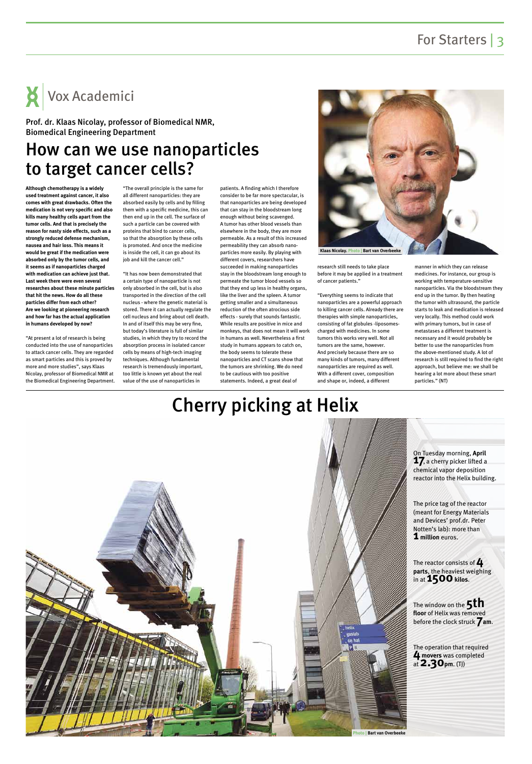## For Starters | 3

## Cherry picking at Helix

## How can we use nanoparticles to target cancer cells?

**Although chemotherapy is a widely used treatment against cancer, it also comes with great drawbacks. Often the medication is not very specific and also kills many healthy cells apart from the tumor cells. And that is precisely the reason for nasty side effects, such as a strongly reduced defense mechanism, nausea and hair loss. This means it would be great if the medication were absorbed only by the tumor cells, and it seems as if nanoparticles charged with medication can achieve just that. Last week there were even several researches about these minute particles that hit the news. How do all these particles differ from each other? Are we looking at pioneering research and how far has the actual application in humans developed by now?**

"At present a lot of research is being conducted into the use of nanoparticles to attack cancer cells. They are regarded as smart particles and this is proved by more and more studies", says Klaas Nicolay, professor of Biomedical NMR at the Biomedical Engineering Department. "The overall principle is the same for all different nanoparticles: they are absorbed easily by cells and by filling them with a specific medicine, this can then end up in the cell. The surface of such a particle can be covered with proteins that bind to cancer cells, so that the absorption by these cells is promoted. And once the medicine is inside the cell, it can go about its job and kill the cancer cell."

"It has now been demonstrated that a certain type of nanoparticle is not only absorbed in the cell, but is also transported in the direction of the cell nucleus - where the genetic material is stored. There it can actually regulate the cell nucleus and bring about cell death. In and of itself this may be very fine, but today's literature is full of similar studies, in which they try to record the absorption process in isolated cancer cells by means of high-tech imaging techniques. Although fundamental research is tremendously important, too little is known yet about the real value of the use of nanoparticles in

> The reactor consists of **4 parts**, the heaviest weighing in at **1500** kilos.

patients. A finding which I therefore consider to be far more spectacular, is that nanoparticles are being developed that can stay in the bloodstream long enough without being scavenged. A tumor has other blood vessels than elsewhere in the body, they are more permeable. As a result of this increased permeability they can absorb nanoparticles more easily. By playing with different covers, researchers have succeeded in making nanoparticles stay in the bloodstream long enough to permeate the tumor blood vessels so that they end up less in healthy organs, like the liver and the spleen. A tumor getting smaller and a simultaneous reduction of the often atrocious side effects - surely that sounds fantastic. While results are positive in mice and monkeys, that does not mean it will work in humans as well. Nevertheless a first study in humans appears to catch on, the body seems to tolerate these nanoparticles and CT scans show that the tumors are shrinking. We do need to be cautious with too positive statements. Indeed, a great deal of

research still needs to take place before it may be applied in a treatment of cancer patients."

"Everything seems to indicate that nanoparticles are a powerful approach to killing cancer cells. Already there are therapies with simple nanoparticles, consisting of fat globules -liposomescharged with medicines. In some tumors this works very well. Not all tumors are the same, however. And precisely because there are so many kinds of tumors, many different nanoparticles are required as well. With a different cover, composition and shape or, indeed, a different

manner in which they can release medicines. For instance, our group is working with temperature-sensitive nanoparticles. Via the bloodstream they end up in the tumor. By then heating the tumor with ultrasound, the particle starts to leak and medication is released very locally. This method could work with primary tumors, but in case of metastases a different treatment is necessary and it would probably be better to use the nanoparticles from the above-mentioned study. A lot of research is still required to find the right approach, but believe me: we shall be hearing a lot more about these smart particles." (NT)

Vox Academici

#### Prof. dr. Klaas Nicolay, professor of Biomedical NMR, Biomedical Engineering Department







The price tag of the reactor (meant for Energy Materials and Devices' prof.dr. Peter Notten's lab): more than **1 million** euros.

The window on the **5th floor** of Helix was removed before the clock struck **7am**.

The operation that required **4 movers** was completed at **2.30pm**. (TJ)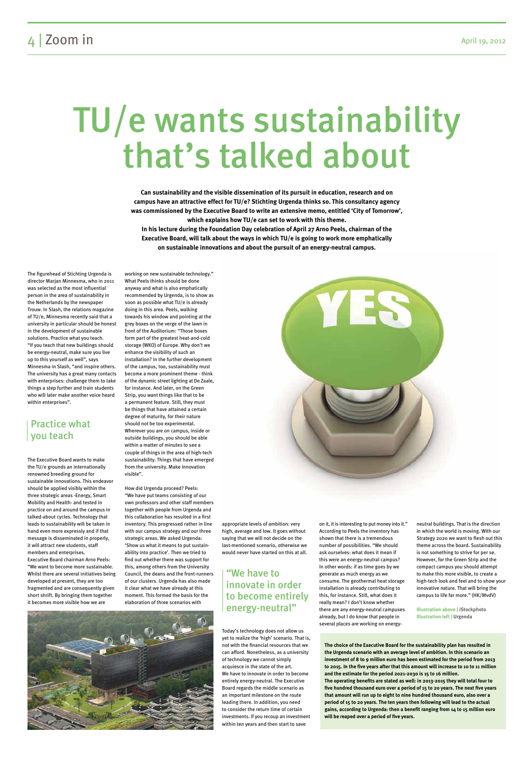## TU/e wants sustainability that's talked about

The figurehead of Stichting Urgenda is director Marjan Minnesma, who in 2011 was selected as the most influential person in the area of sustainability in the Netherlands by the newspaper Trouw. In Slash, the relations magazine of TU/e, Minnesma recently said that a university in particular should be honest in the development of sustainable solutions. Practice what you teach. "If you teach that new buildings should be energy-neutral, make sure you live up to this yourself as well", says Minnesma in Slash, "and inspire others. The university has a great many contacts with enterprises: challenge them to take things a step further and train students who will later make another voice heard within enterprises".

The Executive Board wants to make the TU/e grounds an internationally renowned breeding ground for sustainable innovations. This endeavor should be applied visibly within the three strategic areas -Energy, Smart Mobility and Health- and tested in practice on and around the campus in talked-about cycles. Technology that leads to sustainability will be taken in hand even more expressly and if that message is disseminated in properly, it will attract new students, staff members and enterprises. Executive Board chairman Arno Peels: "We want to become more sustainable. Whilst there are several initiatives being developed at present, they are too

fragmented and are consequently given short shrift. By bringing them together it becomes more visible how we are

working on new sustainable technology." What Peels thinks should be done anyway and what is also emphatically recommended by Urgenda, is to show as soon as possible what TU/e is already doing in this area. Peels, walking towards his window and pointing at the grey boxes on the verge of the lawn in front of the Auditorium: "Those boxes form part of the greatest heat-and-cold storage (WKO) of Europe. Why don't we enhance the visibility of such an installation? In the further development of the campus, too, sustainability must become a more prominent theme - think of the dynamic street lighting at De Zaale, for instance. And later, on the Green Strip, you want things like that to be a permanent feature. Still, they must be things that have attained a certain degree of maturity, for their nature should not be too experimental. Wherever you are on campus, inside or outside buildings, you should be able within a matter of minutes to see a couple of things in the area of high-tech sustainability. Things that have emerged from the university. Make innovation

visible".



How did Urgenda proceed? Peels: "We have put teams consisting of our own professors and other staff members together with people from Urgenda and this collaboration has resulted in a first inventory. This progressed rather in line with our campus strategy and our three strategic areas. We asked Urgenda: 'Show us what it means to put sustainability into practice'. Then we tried to find out whether there was support for this, among others from the University Council, the deans and the front-runners of our clusters. Urgenda has also made

it clear what we have already at this moment. This formed the basis for the elaboration of three scenarios with



appropriate levels of ambition: very high, average and low. It goes without saying that we will not decide on the last-mentioned scenario, otherwise we would never have started on this at all.

Today's technology does not allow us yet to realize the 'high' scenario. That is, not with the financial resources that we can afford. Nonetheless, as a university of technology we cannot simply acquiesce in the state of the art. We have to innovate in order to become entirely energy-neutral. The Executive Board regards the middle scenario as an important milestone on the route leading there. In addition, you need to consider the return time of certain investments. If you recoup an investment within ten years and then start to save

on it, it is interesting to put money into it." According to Peels the inventory has shown that there is a tremendous number of possibilities. "We should ask ourselves: what does it mean if this were an energy-neutral campus? In other words: if as time goes by we generate as much energy as we consume. The geothermal heat storage

installation is already contributing to this, for instance. Still, what does it really mean? I don't know whether there are any energy-neutral campuses already, but I do know that people in several places are working on energyneutral buildings. That is the direction in which the world is moving. With our Strategy 2020 we want to flesh out this theme across the board. Sustainability is not something to strive for per se. However, for the Green Strip and the compact campus you should attempt to make this more visible, to create a high-tech look and feel and to show your

innovative nature. That will bring the campus to life far more." (HK/MvdV)

**Illustration above | iStockphoto Illustration left | Urgenda**

**Can sustainability and the visible dissemination of its pursuit in education, research and on campus have an attractive effect for TU/e? Stichting Urgenda thinks so. This consultancy agency was commissioned by the Executive Board to write an extensive memo, entitled 'City of Tomorrow', which explains how TU/e can set to work with this theme. In his lecture during the Foundation Day celebration of April 27 Arno Peels, chairman of the Executive Board, will talk about the ways in which TU/e is going to work more emphatically on sustainable innovations and about the pursuit of an energy-neutral campus.**

### Practice what you teach

#### "We have to innovate in order to become entirely energy-neutral"

**The choice of the Executive Board for the sustainability plan has resulted in the Urgenda scenario with an average level of ambition. In this scenario an investment of 8 to 9 million euro has been estimated for the period from 2013 to 2015. In the five years after that this amount will increase to 10 to 11 million and the estimate for the period 2021-2030 is 15 to 16 million. The operating benefits are stated as well: in 2013-2015 they will total four to five hundred thousand euro over a period of 15 to 20 years. The next five years that amount will run up to eight to nine hundred thousand euro, also over a period of 15 to 20 years. The ten years then following will lead to the actual gains, according to Urgenda: then a benefit ranging from 14 to 15 million euro will be reaped over a period of five years.**